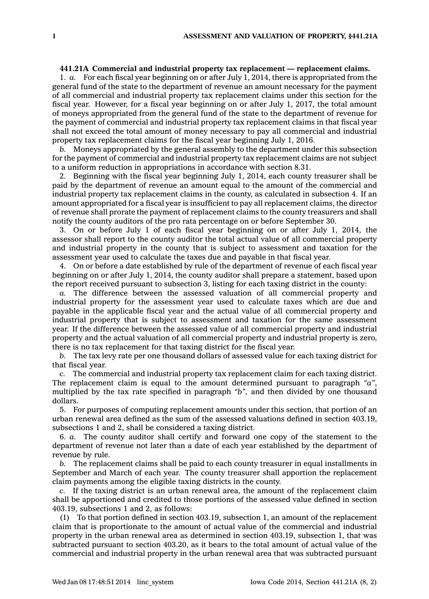## **441.21A Commercial and industrial property tax replacement — replacement claims.**

1. *a.* For each fiscal year beginning on or after July 1, 2014, there is appropriated from the general fund of the state to the department of revenue an amount necessary for the payment of all commercial and industrial property tax replacement claims under this section for the fiscal year. However, for <sup>a</sup> fiscal year beginning on or after July 1, 2017, the total amount of moneys appropriated from the general fund of the state to the department of revenue for the payment of commercial and industrial property tax replacement claims in that fiscal year shall not exceed the total amount of money necessary to pay all commercial and industrial property tax replacement claims for the fiscal year beginning July 1, 2016.

*b.* Moneys appropriated by the general assembly to the department under this subsection for the payment of commercial and industrial property tax replacement claims are not subject to <sup>a</sup> uniform reduction in appropriations in accordance with section 8.31.

2. Beginning with the fiscal year beginning July 1, 2014, each county treasurer shall be paid by the department of revenue an amount equal to the amount of the commercial and industrial property tax replacement claims in the county, as calculated in subsection 4. If an amount appropriated for <sup>a</sup> fiscal year is insufficient to pay all replacement claims, the director of revenue shall prorate the payment of replacement claims to the county treasurers and shall notify the county auditors of the pro rata percentage on or before September 30.

3. On or before July 1 of each fiscal year beginning on or after July 1, 2014, the assessor shall report to the county auditor the total actual value of all commercial property and industrial property in the county that is subject to assessment and taxation for the assessment year used to calculate the taxes due and payable in that fiscal year.

4. On or before <sup>a</sup> date established by rule of the department of revenue of each fiscal year beginning on or after July 1, 2014, the county auditor shall prepare <sup>a</sup> statement, based upon the report received pursuant to subsection 3, listing for each taxing district in the county:

*a.* The difference between the assessed valuation of all commercial property and industrial property for the assessment year used to calculate taxes which are due and payable in the applicable fiscal year and the actual value of all commercial property and industrial property that is subject to assessment and taxation for the same assessment year. If the difference between the assessed value of all commercial property and industrial property and the actual valuation of all commercial property and industrial property is zero, there is no tax replacement for that taxing district for the fiscal year.

*b.* The tax levy rate per one thousand dollars of assessed value for each taxing district for that fiscal year.

*c.* The commercial and industrial property tax replacement claim for each taxing district. The replacement claim is equal to the amount determined pursuant to paragraph *"a"*, multiplied by the tax rate specified in paragraph *"b"*, and then divided by one thousand dollars.

5. For purposes of computing replacement amounts under this section, that portion of an urban renewal area defined as the sum of the assessed valuations defined in section 403.19, subsections 1 and 2, shall be considered <sup>a</sup> taxing district.

6. *a.* The county auditor shall certify and forward one copy of the statement to the department of revenue not later than <sup>a</sup> date of each year established by the department of revenue by rule.

*b.* The replacement claims shall be paid to each county treasurer in equal installments in September and March of each year. The county treasurer shall apportion the replacement claim payments among the eligible taxing districts in the county.

*c.* If the taxing district is an urban renewal area, the amount of the replacement claim shall be apportioned and credited to those portions of the assessed value defined in section 403.19, subsections 1 and 2, as follows:

(1) To that portion defined in section 403.19, subsection 1, an amount of the replacement claim that is proportionate to the amount of actual value of the commercial and industrial property in the urban renewal area as determined in section 403.19, subsection 1, that was subtracted pursuant to section 403.20, as it bears to the total amount of actual value of the commercial and industrial property in the urban renewal area that was subtracted pursuant